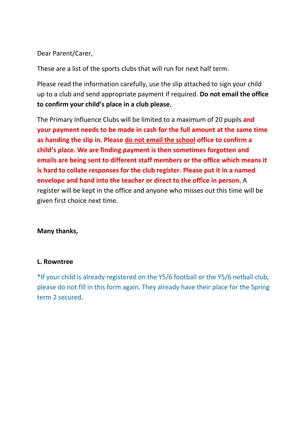## Dear Parent/Carer,

These are a list of the sports clubs that will run for next half term.

Please read the information carefully, use the slip attached to sign your child up to a club and send appropriate payment if required. **Do not email the office to confirm your child's place in a club please.**

The Primary Influence Clubs will be limited to a maximum of 20 pupils **and your payment needs to be made in cash for the full amount at the same time as handing the slip in. Please do not email the school office to confirm a child's place. We are finding payment is then sometimes forgotten and emails are being sent to different staff members or the office which means it is hard to collate responses for the club register. Please put it in a named envelope and hand into the teacher or direct to the office in person.** A register will be kept in the office and anyone who misses out this time will be given first choice next time.

## **Many thanks,**

## **L. Rowntree**

\*If your child is already registered on the Y5/6 football or the Y5/6 netball club, please do not fill in this form again. They already have their place for the Spring term 2 secured.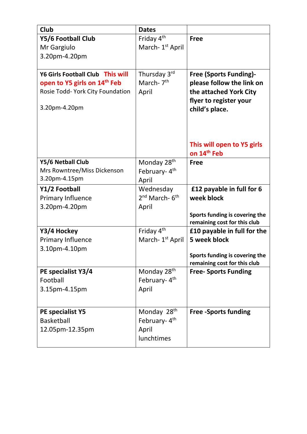| Club                                     | <b>Dates</b>                          |                                                             |
|------------------------------------------|---------------------------------------|-------------------------------------------------------------|
| Y5/6 Football Club                       | Friday 4 <sup>th</sup>                | <b>Free</b>                                                 |
| Mr Gargiulo                              | March- 1 <sup>st</sup> April          |                                                             |
| 3.20pm-4.20pm                            |                                       |                                                             |
|                                          |                                       |                                                             |
| <b>Y6 Girls Football Club This will</b>  | Thursday 3rd                          | <b>Free (Sports Funding)-</b>                               |
| open to Y5 girls on 14 <sup>th</sup> Feb | March-7 <sup>th</sup>                 | please follow the link on                                   |
| Rosie Todd- York City Foundation         | April                                 | the attached York City                                      |
| 3.20pm-4.20pm                            |                                       | flyer to register your                                      |
|                                          |                                       | child's place.                                              |
|                                          |                                       |                                                             |
|                                          |                                       |                                                             |
|                                          |                                       | This will open to Y5 girls                                  |
|                                          |                                       | on 14 <sup>th</sup> Feb                                     |
| Y5/6 Netball Club                        | Monday 28 <sup>th</sup>               | <b>Free</b>                                                 |
| Mrs Rowntree/Miss Dickenson              | February-4th                          |                                                             |
| 3.20pm-4.15pm                            | April                                 |                                                             |
| Y1/2 Football                            | Wednesday                             | £12 payable in full for 6                                   |
| Primary Influence                        | 2 <sup>nd</sup> March-6 <sup>th</sup> | week block                                                  |
| 3.20pm-4.20pm                            | April                                 |                                                             |
|                                          |                                       | Sports funding is covering the                              |
| Y3/4 Hockey                              | Friday 4 <sup>th</sup>                | remaining cost for this club<br>£10 payable in full for the |
| Primary Influence                        | March- 1 <sup>st</sup> April          | 5 week block                                                |
| 3.10pm-4.10pm                            |                                       |                                                             |
|                                          |                                       | Sports funding is covering the                              |
|                                          |                                       | remaining cost for this club                                |
| PE specialist Y3/4                       | Monday 28 <sup>th</sup>               | <b>Free- Sports Funding</b>                                 |
| Football                                 | February-4 <sup>th</sup>              |                                                             |
| 3.15pm-4.15pm                            | April                                 |                                                             |
|                                          |                                       |                                                             |
| PE specialist Y5                         | Monday 28 <sup>th</sup>               | <b>Free -Sports funding</b>                                 |
| <b>Basketball</b>                        | February-4th                          |                                                             |
| 12.05pm-12.35pm                          | April                                 |                                                             |
|                                          | lunchtimes                            |                                                             |